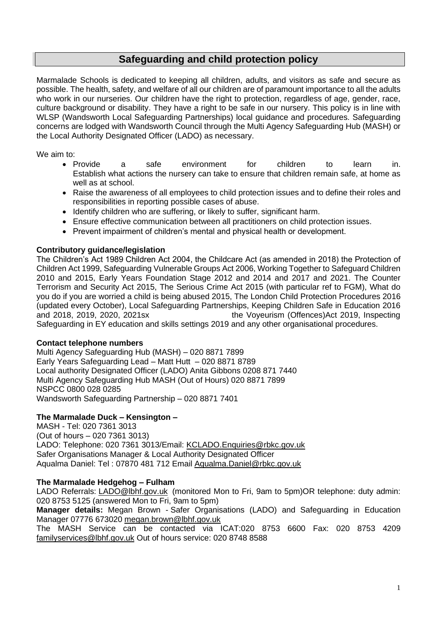# **Safeguarding and child protection policy**

Marmalade Schools is dedicated to keeping all children, adults, and visitors as safe and secure as possible. The health, safety, and welfare of all our children are of paramount importance to all the adults who work in our nurseries. Our children have the right to protection, regardless of age, gender, race, culture background or disability. They have a right to be safe in our nursery. This policy is in line with WLSP (Wandsworth Local Safeguarding Partnerships) local guidance and procedures. Safeguarding concerns are lodged with Wandsworth Council through the Multi Agency Safeguarding Hub (MASH) or the Local Authority Designated Officer (LADO) as necessary.

We aim to:

- Provide a safe environment for children to learn in. Establish what actions the nursery can take to ensure that children remain safe, at home as well as at school.
- Raise the awareness of all employees to child protection issues and to define their roles and responsibilities in reporting possible cases of abuse.
- Identify children who are suffering, or likely to suffer, significant harm.
- Ensure effective communication between all practitioners on child protection issues.
- Prevent impairment of children's mental and physical health or development.

# **Contributory guidance/legislation**

The Children's Act 1989 Children Act 2004, the Childcare Act (as amended in 2018) the Protection of Children Act 1999, Safeguarding Vulnerable Groups Act 2006, Working Together to Safeguard Children 2010 and 2015, Early Years Foundation Stage 2012 and 2014 and 2017 and 2021. The Counter Terrorism and Security Act 2015, The Serious Crime Act 2015 (with particular ref to FGM), What do you do if you are worried a child is being abused 2015, The London Child Protection Procedures 2016 (updated every October), Local Safeguarding Partnerships, Keeping Children Safe in Education 2016 and 2018, 2019, 2020, 2021sx the Voyeurism (Offences)Act 2019, Inspecting Safeguarding in EY education and skills settings 2019 and any other organisational procedures.

# **Contact telephone numbers**

Multi Agency Safeguarding Hub (MASH) – 020 8871 7899 Early Years Safeguarding Lead – Matt Hutt – 020 8871 8789 Local authority Designated Officer (LADO) Anita Gibbons 0208 871 7440 Multi Agency Safeguarding Hub MASH (Out of Hours) 020 8871 7899 NSPCC 0800 028 0285 Wandsworth Safeguarding Partnership – 020 8871 7401

# **The Marmalade Duck – Kensington –**

MASH - Tel: 020 7361 3013 (Out of hours – 020 7361 3013) LADO: Telephone: 020 7361 3013/Email: [KCLADO.Enquiries@rbkc.gov.uk](mailto:KCLADO.Enquiries@rbkc.gov.uk) Safer Organisations Manager & Local Authority Designated Officer Aqualma Daniel: Tel : 07870 481 712 Email [Aqualma.Daniel@rbkc.gov.uk](mailto:Aqualma.Daniel@rbkc.gov.uk)

# **The Marmalade Hedgehog – Fulham**

LADO Referrals: [LADO@lbhf.gov.uk](mailto:LADO@lbhf.gov.uk) (monitored Mon to Fri, 9am to 5pm)OR telephone: duty admin: 020 8753 5125 (answered Mon to Fri, 9am to 5pm)

**Manager details:** Megan Brown - Safer Organisations (LADO) and Safeguarding in Education Manager 07776 673020 [megan.brown@lbhf.gov.uk](mailto:megan.brown@lbhf.gov.uk)

The MASH Service can be contacted via ICAT:020 8753 6600 Fax: 020 8753 4209 [familyservices@lbhf.gov.uk](mailto:familyservices@lbhf.gov.uk) Out of hours service: 020 8748 8588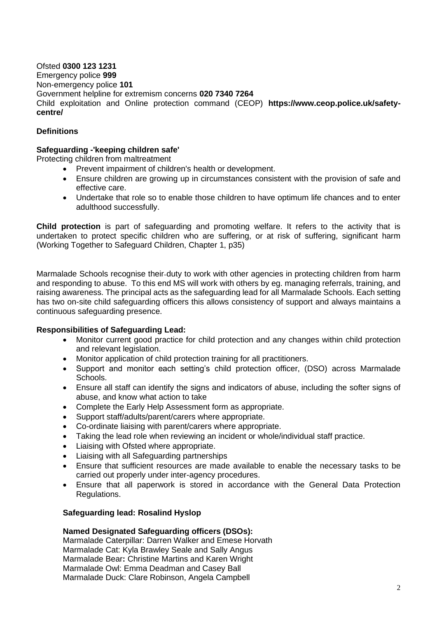Ofsted **0300 123 1231** Emergency police **999** Non-emergency police **101**  Government helpline for extremism concerns **020 7340 7264** Child exploitation and Online protection command (CEOP) **https://www.ceop.police.uk/safetycentre/**

# **Definitions**

#### **Safeguarding -'keeping children safe'**

Protecting children from maltreatment

- Prevent impairment of children's health or development.
- Ensure children are growing up in circumstances consistent with the provision of safe and effective care.
- Undertake that role so to enable those children to have optimum life chances and to enter adulthood successfully.

**Child protection** is part of safeguarding and promoting welfare. It refers to the activity that is undertaken to protect specific children who are suffering, or at risk of suffering, significant harm (Working Together to Safeguard Children, Chapter 1, p35)

Marmalade Schools recognise their duty to work with other agencies in protecting children from harm and responding to abuse. To this end MS will work with others by eg. managing referrals, training, and raising awareness. The principal acts as the safeguarding lead for all Marmalade Schools. Each setting has two on-site child safeguarding officers this allows consistency of support and always maintains a continuous safeguarding presence.

#### **Responsibilities of Safeguarding Lead:**

- Monitor current good practice for child protection and any changes within child protection and relevant legislation.
- Monitor application of child protection training for all practitioners.
- Support and monitor each setting's child protection officer, (DSO) across Marmalade Schools.
- Ensure all staff can identify the signs and indicators of abuse, including the softer signs of abuse, and know what action to take
- Complete the Early Help Assessment form as appropriate.
- Support staff/adults/parent/carers where appropriate.
- Co-ordinate liaising with parent/carers where appropriate.
- Taking the lead role when reviewing an incident or whole/individual staff practice.
- Liaising with Ofsted where appropriate.
- Liaising with all Safeguarding partnerships
- Ensure that sufficient resources are made available to enable the necessary tasks to be carried out properly under inter-agency procedures.
- Ensure that all paperwork is stored in accordance with the General Data Protection Regulations.

#### **Safeguarding lead: Rosalind Hyslop**

#### **Named Designated Safeguarding officers (DSOs):**

Marmalade Caterpillar: Darren Walker and Emese Horvath Marmalade Cat: Kyla Brawley Seale and Sally Angus Marmalade Bear**:** Christine Martins and Karen Wright Marmalade Owl: Emma Deadman and Casey Ball Marmalade Duck: Clare Robinson, Angela Campbell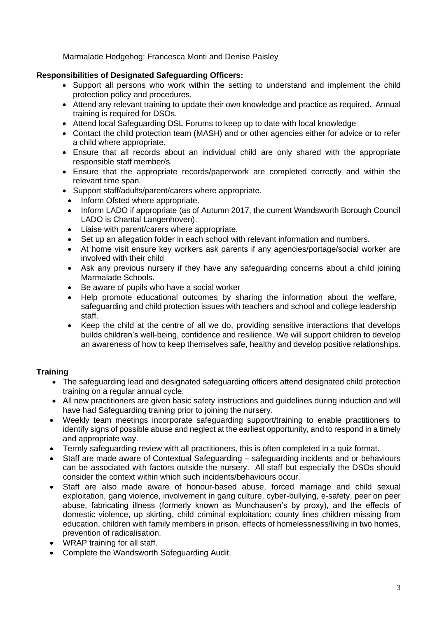Marmalade Hedgehog: Francesca Monti and Denise Paisley

# **Responsibilities of Designated Safeguarding Officers:**

- Support all persons who work within the setting to understand and implement the child protection policy and procedures.
- Attend any relevant training to update their own knowledge and practice as required. Annual training is required for DSOs.
- Attend local Safeguarding DSL Forums to keep up to date with local knowledge
- Contact the child protection team (MASH) and or other agencies either for advice or to refer a child where appropriate.
- Ensure that all records about an individual child are only shared with the appropriate responsible staff member/s.
- Ensure that the appropriate records/paperwork are completed correctly and within the relevant time span.
- Support staff/adults/parent/carers where appropriate.
- Inform Ofsted where appropriate.
- Inform LADO if appropriate (as of Autumn 2017, the current Wandsworth Borough Council LADO is Chantal Langenhoven).
- Liaise with parent/carers where appropriate.
- Set up an allegation folder in each school with relevant information and numbers.
- At home visit ensure key workers ask parents if any agencies/portage/social worker are involved with their child
- Ask any previous nursery if they have any safeguarding concerns about a child joining Marmalade Schools.
- Be aware of pupils who have a social worker
- Help promote educational outcomes by sharing the information about the welfare, safeguarding and child protection issues with teachers and school and college leadership staff.
- Keep the child at the centre of all we do, providing sensitive interactions that develops builds children's well-being, confidence and resilience. We will support children to develop an awareness of how to keep themselves safe, healthy and develop positive relationships.

# **Training**

- The safeguarding lead and designated safeguarding officers attend designated child protection training on a regular annual cycle.
- All new practitioners are given basic safety instructions and guidelines during induction and will have had Safeguarding training prior to joining the nursery.
- Weekly team meetings incorporate safeguarding support/training to enable practitioners to identify signs of possible abuse and neglect at the earliest opportunity, and to respond in a timely and appropriate way.
- Termly safeguarding review with all practitioners, this is often completed in a quiz format.
- Staff are made aware of Contextual Safeguarding safeguarding incidents and or behaviours can be associated with factors outside the nursery. All staff but especially the DSOs should consider the context within which such incidents/behaviours occur.
- Staff are also made aware of honour-based abuse, forced marriage and child sexual exploitation, gang violence, involvement in gang culture, cyber-bullying, e-safety, peer on peer abuse, fabricating illness (formerly known as Munchausen's by proxy), and the effects of domestic violence, up skirting, child criminal exploitation: county lines children missing from education, children with family members in prison, effects of homelessness/living in two homes, prevention of radicalisation.
- WRAP training for all staff.
- Complete the Wandsworth Safeguarding Audit.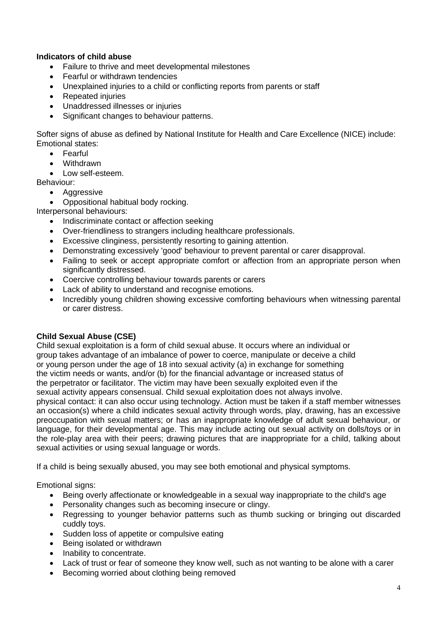# **Indicators of child abuse**

- Failure to thrive and meet developmental milestones
- Fearful or withdrawn tendencies
- Unexplained injuries to a child or conflicting reports from parents or staff
- Repeated injuries
- Unaddressed illnesses or injuries
- Significant changes to behaviour patterns.

Softer signs of abuse as defined by National Institute for Health and Care Excellence (NICE) include: Emotional states:

- Fearful
- Withdrawn
- Low self-esteem.

Behaviour:

- Aggressive
- Oppositional habitual body rocking.

Interpersonal behaviours:

- Indiscriminate contact or affection seeking
- Over-friendliness to strangers including healthcare professionals.
- Excessive clinginess, persistently resorting to gaining attention.
- Demonstrating excessively 'good' behaviour to prevent parental or carer disapproval.
- Failing to seek or accept appropriate comfort or affection from an appropriate person when significantly distressed.
- Coercive controlling behaviour towards parents or carers
- Lack of ability to understand and recognise emotions.
- Incredibly young children showing excessive comforting behaviours when witnessing parental or carer distress.

# **Child Sexual Abuse (CSE)**

Child sexual exploitation is a form of child sexual abuse. It occurs where an individual or group takes advantage of an imbalance of power to coerce, manipulate or deceive a child or young person under the age of 18 into sexual activity (a) in exchange for something the victim needs or wants, and/or (b) for the financial advantage or increased status of the perpetrator or facilitator. The victim may have been sexually exploited even if the sexual activity appears consensual. Child sexual exploitation does not always involve. physical contact: it can also occur using technology. Action must be taken if a staff member witnesses an occasion(s) where a child indicates sexual activity through words, play, drawing, has an excessive preoccupation with sexual matters; or has an inappropriate knowledge of adult sexual behaviour, or language, for their developmental age. This may include acting out sexual activity on dolls/toys or in the role-play area with their peers; drawing pictures that are inappropriate for a child, talking about sexual activities or using sexual language or words.

If a child is being sexually abused, you may see both emotional and physical symptoms.

Emotional signs:

- Being overly affectionate or knowledgeable in a sexual way inappropriate to the child's age
- Personality changes such as becoming insecure or clingy.
- Regressing to younger behavior patterns such as thumb sucking or bringing out discarded cuddly toys.
- Sudden loss of appetite or compulsive eating
- Being isolated or withdrawn
- Inability to concentrate.
- Lack of trust or fear of someone they know well, such as not wanting to be alone with a carer
- Becoming worried about clothing being removed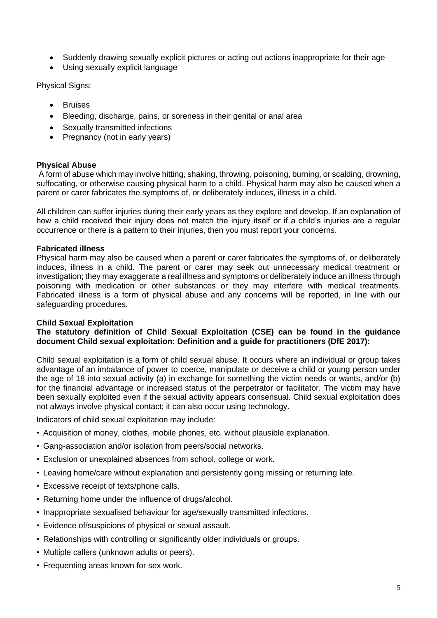- Suddenly drawing sexually explicit pictures or acting out actions inappropriate for their age
- Using sexually explicit language

Physical Signs:

- **Bruises**
- Bleeding, discharge, pains, or soreness in their genital or anal area
- Sexually transmitted infections
- Pregnancy (not in early years)

# **Physical Abuse**

A form of abuse which may involve hitting, shaking, throwing, poisoning, burning, or scalding, drowning, suffocating, or otherwise causing physical harm to a child. Physical harm may also be caused when a parent or carer fabricates the symptoms of, or deliberately induces, illness in a child.

All children can suffer injuries during their early years as they explore and develop. If an explanation of how a child received their injury does not match the injury itself or if a child's injuries are a regular occurrence or there is a pattern to their injuries, then you must report your concerns.

# **Fabricated illness**

Physical harm may also be caused when a parent or carer fabricates the symptoms of, or deliberately induces, illness in a child. The parent or carer may seek out unnecessary medical treatment or investigation; they may exaggerate a real illness and symptoms or deliberately induce an illness through poisoning with medication or other substances or they may interfere with medical treatments. Fabricated illness is a form of physical abuse and any concerns will be reported, in line with our safeguarding procedures.

# **Child Sexual Exploitation**

# **The statutory definition of Child Sexual Exploitation (CSE) can be found in the guidance document Child sexual exploitation: Definition and a guide for practitioners (DfE 2017):**

Child sexual exploitation is a form of child sexual abuse. It occurs where an individual or group takes advantage of an imbalance of power to coerce, manipulate or deceive a child or young person under the age of 18 into sexual activity (a) in exchange for something the victim needs or wants, and/or (b) for the financial advantage or increased status of the perpetrator or facilitator. The victim may have been sexually exploited even if the sexual activity appears consensual. Child sexual exploitation does not always involve physical contact; it can also occur using technology.

Indicators of child sexual exploitation may include:

- Acquisition of money, clothes, mobile phones, etc. without plausible explanation.
- Gang-association and/or isolation from peers/social networks.
- Exclusion or unexplained absences from school, college or work.
- Leaving home/care without explanation and persistently going missing or returning late.
- Excessive receipt of texts/phone calls.
- Returning home under the influence of drugs/alcohol.
- Inappropriate sexualised behaviour for age/sexually transmitted infections.
- Evidence of/suspicions of physical or sexual assault.
- Relationships with controlling or significantly older individuals or groups.
- Multiple callers (unknown adults or peers).
- Frequenting areas known for sex work.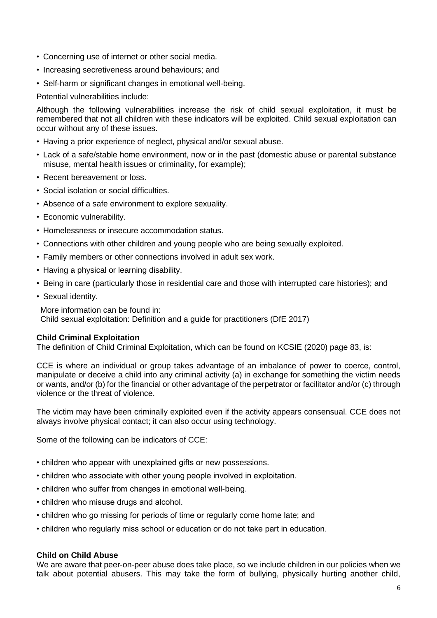- Concerning use of internet or other social media.
- Increasing secretiveness around behaviours; and
- Self-harm or significant changes in emotional well-being.

Potential vulnerabilities include:

Although the following vulnerabilities increase the risk of child sexual exploitation, it must be remembered that not all children with these indicators will be exploited. Child sexual exploitation can occur without any of these issues.

- Having a prior experience of neglect, physical and/or sexual abuse.
- Lack of a safe/stable home environment, now or in the past (domestic abuse or parental substance misuse, mental health issues or criminality, for example);
- Recent bereavement or loss.
- Social isolation or social difficulties.
- Absence of a safe environment to explore sexuality.
- Economic vulnerability.
- Homelessness or insecure accommodation status.
- Connections with other children and young people who are being sexually exploited.
- Family members or other connections involved in adult sex work.
- Having a physical or learning disability.
- Being in care (particularly those in residential care and those with interrupted care histories); and
- Sexual identity.

More information can be found in: Child sexual exploitation: Definition and a guide for practitioners (DfE 2017)

#### **Child Criminal Exploitation**

The definition of Child Criminal Exploitation, which can be found on KCSIE (2020) page 83, is:

CCE is where an individual or group takes advantage of an imbalance of power to coerce, control, manipulate or deceive a child into any criminal activity (a) in exchange for something the victim needs or wants, and/or (b) for the financial or other advantage of the perpetrator or facilitator and/or (c) through violence or the threat of violence.

The victim may have been criminally exploited even if the activity appears consensual. CCE does not always involve physical contact; it can also occur using technology.

Some of the following can be indicators of CCE:

- children who appear with unexplained gifts or new possessions.
- children who associate with other young people involved in exploitation.
- children who suffer from changes in emotional well-being.
- children who misuse drugs and alcohol.
- children who go missing for periods of time or regularly come home late; and
- children who regularly miss school or education or do not take part in education.

#### **Child on Child Abuse**

We are aware that peer-on-peer abuse does take place, so we include children in our policies when we talk about potential abusers. This may take the form of bullying, physically hurting another child,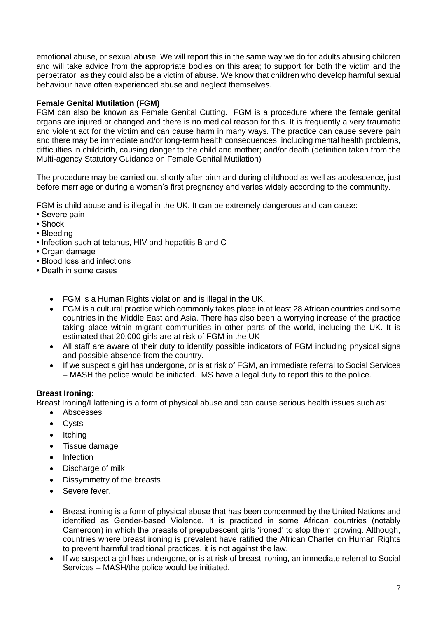emotional abuse, or sexual abuse. We will report this in the same way we do for adults abusing children and will take advice from the appropriate bodies on this area; to support for both the victim and the perpetrator, as they could also be a victim of abuse. We know that children who develop harmful sexual behaviour have often experienced abuse and neglect themselves.

# **Female Genital Mutilation (FGM)**

FGM can also be known as Female Genital Cutting. FGM is a procedure where the female genital organs are injured or changed and there is no medical reason for this. It is frequently a very traumatic and violent act for the victim and can cause harm in many ways. The practice can cause severe pain and there may be immediate and/or long-term health consequences, including mental health problems, difficulties in childbirth, causing danger to the child and mother; and/or death (definition taken from the Multi-agency Statutory Guidance on Female Genital Mutilation)

The procedure may be carried out shortly after birth and during childhood as well as adolescence, just before marriage or during a woman's first pregnancy and varies widely according to the community.

FGM is child abuse and is illegal in the UK. It can be extremely dangerous and can cause:

- Severe pain
- Shock
- Bleeding
- Infection such at tetanus, HIV and hepatitis B and C
- Organ damage
- Blood loss and infections
- Death in some cases
	- FGM is a Human Rights violation and is illegal in the UK.
	- FGM is a cultural practice which commonly takes place in at least 28 African countries and some countries in the Middle East and Asia. There has also been a worrying increase of the practice taking place within migrant communities in other parts of the world, including the UK. It is estimated that 20,000 girls are at risk of FGM in the UK
	- All staff are aware of their duty to identify possible indicators of FGM including physical signs and possible absence from the country.
	- If we suspect a girl has undergone, or is at risk of FGM, an immediate referral to Social Services – MASH the police would be initiated. MS have a legal duty to report this to the police.

# **Breast Ironing:**

Breast Ironing/Flattening is a form of physical abuse and can cause serious health issues such as:

- Abscesses
- Cysts
- **Itching**
- Tissue damage
- **Infection**
- Discharge of milk
- Dissymmetry of the breasts
- Severe fever.
- Breast ironing is a form of physical abuse that has been condemned by the United Nations and identified as Gender-based Violence. It is practiced in some African countries (notably Cameroon) in which the breasts of prepubescent girls 'ironed' to stop them growing. Although, countries where breast ironing is prevalent have ratified the African Charter on Human Rights to prevent harmful traditional practices, it is not against the law.
- If we suspect a girl has undergone, or is at risk of breast ironing, an immediate referral to Social Services – MASH/the police would be initiated.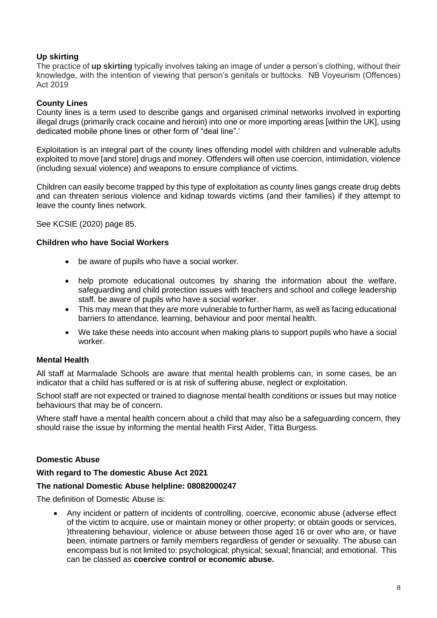# **Up skirting**

The practice of **up skirting** typically involves taking an image of under a person's clothing, without their knowledge, with the intention of viewing that person's genitals or buttocks. NB Voyeurism (Offences) Act 2019

# **County Lines**

County lines is a term used to describe gangs and organised criminal networks involved in exporting illegal drugs (primarily crack cocaine and heroin) into one or more importing areas [within the UK], using dedicated mobile phone lines or other form of "deal line".'

Exploitation is an integral part of the county lines offending model with children and vulnerable adults exploited to move [and store] drugs and money. Offenders will often use coercion, intimidation, violence (including sexual violence) and weapons to ensure compliance of victims.

Children can easily become trapped by this type of exploitation as county lines gangs create drug debts and can threaten serious violence and kidnap towards victims (and their families) if they attempt to leave the county lines network.

See KCSIE (2020) page 85.

# **Children who have Social Workers**

- be aware of pupils who have a social worker.
- help promote educational outcomes by sharing the information about the welfare, safeguarding and child protection issues with teachers and school and college leadership staff. be aware of pupils who have a social worker.
- This may mean that they are more vulnerable to further harm, as well as facing educational barriers to attendance, learning, behaviour and poor mental health.
- We take these needs into account when making plans to support pupils who have a social worker.

# **Mental Health**

All staff at Marmalade Schools are aware that mental health problems can, in some cases, be an indicator that a child has suffered or is at risk of suffering abuse, neglect or exploitation.

School staff are not expected or trained to diagnose mental health conditions or issues but may notice behaviours that may be of concern.

Where staff have a mental health concern about a child that may also be a safeguarding concern, they should raise the issue by informing the mental health First Aider, Titta Burgess.

# **Domestic Abuse**

# **With regard to The domestic Abuse Act 2021**

# **The national Domestic Abuse helpline: 08082000247**

The definition of Domestic Abuse is:

• Any incident or pattern of incidents of controlling, coercive, economic abuse (adverse effect of the victim to acquire, use or maintain money or other property; or obtain goods or services, )threatening behaviour, violence or abuse between those aged 16 or over who are, or have been, intimate partners or family members regardless of gender or sexuality. The abuse can encompass but is not limited to: psychological; physical; sexual; financial; and emotional. This can be classed as **coercive control or economic abuse.**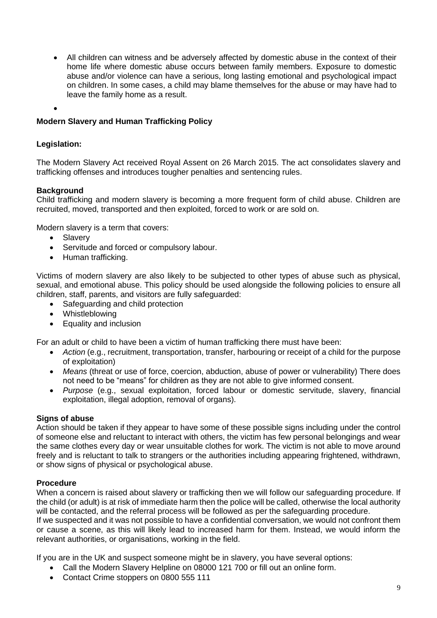• All children can witness and be adversely affected by domestic abuse in the context of their home life where domestic abuse occurs between family members. Exposure to domestic abuse and/or violence can have a serious, long lasting emotional and psychological impact on children. In some cases, a child may blame themselves for the abuse or may have had to leave the family home as a result.

•

# **Modern Slavery and Human Trafficking Policy**

#### **Legislation:**

The Modern Slavery Act received Royal Assent on 26 March 2015. The act consolidates slavery and trafficking offenses and introduces tougher penalties and sentencing rules.

#### **Background**

Child trafficking and modern slavery is becoming a more frequent form of child abuse. Children are recruited, moved, transported and then exploited, forced to work or are sold on.

Modern slavery is a term that covers:

- Slavery
- Servitude and forced or compulsory labour.
- Human trafficking.

Victims of modern slavery are also likely to be subjected to other types of abuse such as physical, sexual, and emotional abuse. This policy should be used alongside the following policies to ensure all children, staff, parents, and visitors are fully safeguarded:

- Safeguarding and child protection
- Whistleblowing
- Equality and inclusion

For an adult or child to have been a victim of human trafficking there must have been:

- *Action* (e.g., recruitment, transportation, transfer, harbouring or receipt of a child for the purpose of exploitation)
- *Means* (threat or use of force, coercion, abduction, abuse of power or vulnerability) There does not need to be "means" for children as they are not able to give informed consent.
- *Purpose* (e.g., sexual exploitation, forced labour or domestic servitude, slavery, financial exploitation, illegal adoption, removal of organs).

#### **Signs of abuse**

Action should be taken if they appear to have some of these possible signs including under the control of someone else and reluctant to interact with others, the victim has few personal belongings and wear the same clothes every day or wear unsuitable clothes for work. The victim is not able to move around freely and is reluctant to talk to strangers or the authorities including appearing frightened, withdrawn, or show signs of physical or psychological abuse.

# **Procedure**

When a concern is raised about slavery or trafficking then we will follow our safeguarding procedure. If the child (or adult) is at risk of immediate harm then the police will be called, otherwise the local authority will be contacted, and the referral process will be followed as per the safeguarding procedure.

If we suspected and it was not possible to have a confidential conversation, we would not confront them or cause a scene, as this will likely lead to increased harm for them. Instead, we would inform the relevant authorities, or organisations, working in the field.

If you are in the UK and suspect someone might be in slavery, you have several options:

- Call the Modern Slavery Helpline on 08000 121 700 or fill out an online form.
- Contact Crime stoppers on 0800 555 111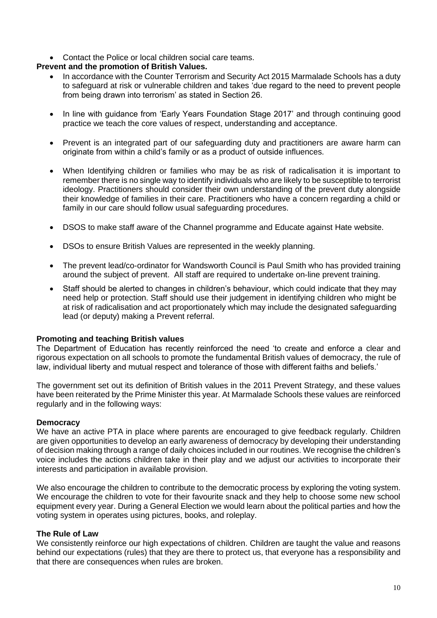• Contact the Police or local children social care teams.

# **Prevent and the promotion of British Values.**

- In accordance with the Counter Terrorism and Security Act 2015 Marmalade Schools has a duty to safeguard at risk or vulnerable children and takes 'due regard to the need to prevent people from being drawn into terrorism' as stated in Section 26.
- In line with guidance from 'Early Years Foundation Stage 2017' and through continuing good practice we teach the core values of respect, understanding and acceptance.
- Prevent is an integrated part of our safeguarding duty and practitioners are aware harm can originate from within a child's family or as a product of outside influences.
- When Identifying children or families who may be as risk of radicalisation it is important to remember there is no single way to identify individuals who are likely to be susceptible to terrorist ideology. Practitioners should consider their own understanding of the prevent duty alongside their knowledge of families in their care. Practitioners who have a concern regarding a child or family in our care should follow usual safeguarding procedures.
- DSOS to make staff aware of the Channel programme and Educate against Hate website.
- DSOs to ensure British Values are represented in the weekly planning.
- The prevent lead/co-ordinator for Wandsworth Council is Paul Smith who has provided training around the subject of prevent. All staff are required to undertake on-line prevent training.
- Staff should be alerted to changes in children's behaviour, which could indicate that they may need help or protection. Staff should use their judgement in identifying children who might be at risk of radicalisation and act proportionately which may include the designated safeguarding lead (or deputy) making a Prevent referral.

# **Promoting and teaching British values**

The Department of Education has recently reinforced the need 'to create and enforce a clear and rigorous expectation on all schools to promote the fundamental British values of democracy, the rule of law, individual liberty and mutual respect and tolerance of those with different faiths and beliefs.'

The government set out its definition of British values in the 2011 Prevent Strategy, and these values have been reiterated by the Prime Minister this year. At Marmalade Schools these values are reinforced regularly and in the following ways:

# **Democracy**

We have an active PTA in place where parents are encouraged to give feedback regularly. Children are given opportunities to develop an early awareness of democracy by developing their understanding of decision making through a range of daily choices included in our routines. We recognise the children's voice includes the actions children take in their play and we adjust our activities to incorporate their interests and participation in available provision.

We also encourage the children to contribute to the democratic process by exploring the voting system. We encourage the children to vote for their favourite snack and they help to choose some new school equipment every year. During a General Election we would learn about the political parties and how the voting system in operates using pictures, books, and roleplay.

# **The Rule of Law**

We consistently reinforce our high expectations of children. Children are taught the value and reasons behind our expectations (rules) that they are there to protect us, that everyone has a responsibility and that there are consequences when rules are broken.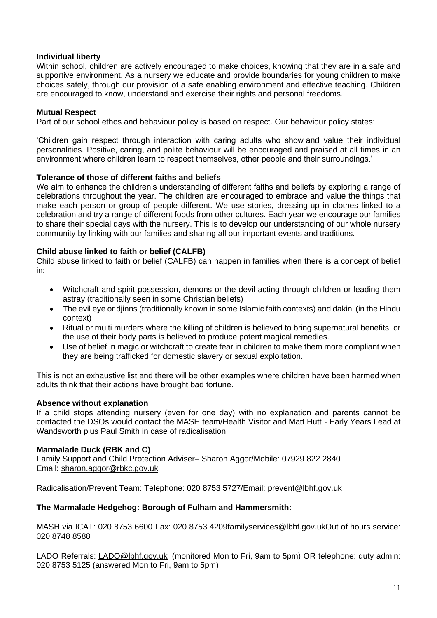# **Individual liberty**

Within school, children are actively encouraged to make choices, knowing that they are in a safe and supportive environment. As a nursery we educate and provide boundaries for young children to make choices safely, through our provision of a safe enabling environment and effective teaching. Children are encouraged to know, understand and exercise their rights and personal freedoms.

# **Mutual Respect**

Part of our school ethos and behaviour policy is based on respect. Our behaviour policy states:

'Children gain respect through interaction with caring adults who show and value their individual personalities. Positive, caring, and polite behaviour will be encouraged and praised at all times in an environment where children learn to respect themselves, other people and their surroundings.'

# **Tolerance of those of different faiths and beliefs**

We aim to enhance the children's understanding of different faiths and beliefs by exploring a range of celebrations throughout the year. The children are encouraged to embrace and value the things that make each person or group of people different. We use stories, dressing-up in clothes linked to a celebration and try a range of different foods from other cultures. Each year we encourage our families to share their special days with the nursery. This is to develop our understanding of our whole nursery community by linking with our families and sharing all our important events and traditions.

# **Child abuse linked to faith or belief (CALFB)**

Child abuse linked to faith or belief (CALFB) can happen in families when there is a concept of belief in:

- Witchcraft and spirit possession, demons or the devil acting through children or leading them astray (traditionally seen in some Christian beliefs)
- The evil eye or djinns (traditionally known in some Islamic faith contexts) and dakini (in the Hindu context)
- Ritual or multi murders where the killing of children is believed to bring supernatural benefits, or the use of their body parts is believed to produce potent magical remedies.
- Use of belief in magic or witchcraft to create fear in children to make them more compliant when they are being trafficked for domestic slavery or sexual exploitation.

This is not an exhaustive list and there will be other examples where children have been harmed when adults think that their actions have brought bad fortune.

# **Absence without explanation**

If a child stops attending nursery (even for one day) with no explanation and parents cannot be contacted the DSOs would contact the MASH team/Health Visitor and Matt Hutt - Early Years Lead at Wandsworth plus Paul Smith in case of radicalisation.

# **Marmalade Duck (RBK and C)**

Family Support and Child Protection Adviser– Sharon Aggor/Mobile: 07929 822 2840 Email: [sharon.aggor@rbkc.gov.uk](mailto:sharon.aggor@rbkc.gov.uk)

Radicalisation/Prevent Team: Telephone: 020 8753 5727/Email: [prevent@lbhf.gov.uk](mailto:prevent@lbhf.gov.uk)

# **The Marmalade Hedgehog: Borough of Fulham and Hammersmith:**

MASH via ICAT: 020 8753 6600 Fax: 020 8753 420[9familyservices@lbhf.gov.ukO](mailto:familyservices@lbhf.gov.uk)ut of hours service: 020 8748 8588

LADO Referrals: [LADO@lbhf.gov.uk](mailto:LADO@lbhf.gov.uk) (monitored Mon to Fri, 9am to 5pm) OR telephone: duty admin: 020 8753 5125 (answered Mon to Fri, 9am to 5pm)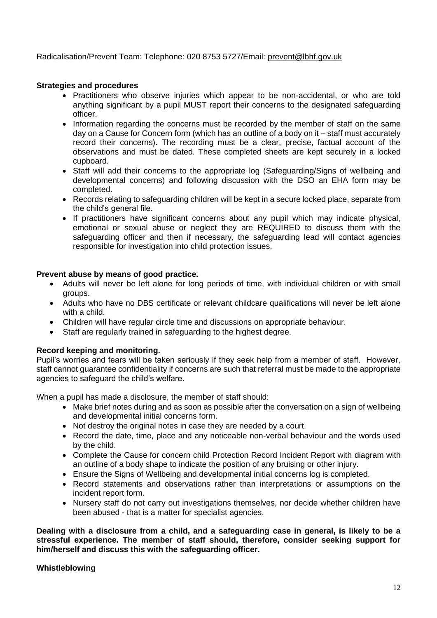Radicalisation/Prevent Team: Telephone: 020 8753 5727/Email: [prevent@lbhf.gov.uk](mailto:prevent@lbhf.gov.uk)

# **Strategies and procedures**

- Practitioners who observe injuries which appear to be non-accidental, or who are told anything significant by a pupil MUST report their concerns to the designated safeguarding officer.
- Information regarding the concerns must be recorded by the member of staff on the same day on a Cause for Concern form (which has an outline of a body on it – staff must accurately record their concerns). The recording must be a clear, precise, factual account of the observations and must be dated. These completed sheets are kept securely in a locked cupboard.
- Staff will add their concerns to the appropriate log (Safeguarding/Signs of wellbeing and developmental concerns) and following discussion with the DSO an EHA form may be completed.
- Records relating to safeguarding children will be kept in a secure locked place, separate from the child's general file.
- If practitioners have significant concerns about any pupil which may indicate physical, emotional or sexual abuse or neglect they are REQUIRED to discuss them with the safeguarding officer and then if necessary, the safeguarding lead will contact agencies responsible for investigation into child protection issues.

# **Prevent abuse by means of good practice.**

- Adults will never be left alone for long periods of time, with individual children or with small groups.
- Adults who have no DBS certificate or relevant childcare qualifications will never be left alone with a child.
- Children will have regular circle time and discussions on appropriate behaviour.
- Staff are regularly trained in safeguarding to the highest degree.

# **Record keeping and monitoring.**

Pupil's worries and fears will be taken seriously if they seek help from a member of staff. However, staff cannot guarantee confidentiality if concerns are such that referral must be made to the appropriate agencies to safeguard the child's welfare.

When a pupil has made a disclosure, the member of staff should:

- Make brief notes during and as soon as possible after the conversation on a sign of wellbeing and developmental initial concerns form.
- Not destroy the original notes in case they are needed by a court.
- Record the date, time, place and any noticeable non-verbal behaviour and the words used by the child.
- Complete the Cause for concern child Protection Record Incident Report with diagram with an outline of a body shape to indicate the position of any bruising or other injury.
- Ensure the Signs of Wellbeing and developmental initial concerns log is completed.
- Record statements and observations rather than interpretations or assumptions on the incident report form.
- Nursery staff do not carry out investigations themselves, nor decide whether children have been abused - that is a matter for specialist agencies.

**Dealing with a disclosure from a child, and a safeguarding case in general, is likely to be a stressful experience. The member of staff should, therefore, consider seeking support for him/herself and discuss this with the safeguarding officer.**

# **Whistleblowing**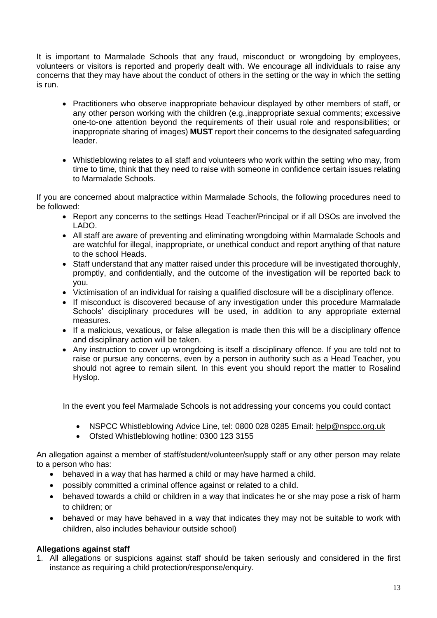It is important to Marmalade Schools that any fraud, misconduct or wrongdoing by employees, volunteers or visitors is reported and properly dealt with. We encourage all individuals to raise any concerns that they may have about the conduct of others in the setting or the way in which the setting is run.

- Practitioners who observe inappropriate behaviour displayed by other members of staff, or any other person working with the children (e.g.,inappropriate sexual comments; excessive one-to-one attention beyond the requirements of their usual role and responsibilities; or inappropriate sharing of images) **MUST** report their concerns to the designated safeguarding leader.
- Whistleblowing relates to all staff and volunteers who work within the setting who may, from time to time, think that they need to raise with someone in confidence certain issues relating to Marmalade Schools.

If you are concerned about malpractice within Marmalade Schools, the following procedures need to be followed:

- Report any concerns to the settings Head Teacher/Principal or if all DSOs are involved the LADO.
- All staff are aware of preventing and eliminating wrongdoing within Marmalade Schools and are watchful for illegal, inappropriate, or unethical conduct and report anything of that nature to the school Heads.
- Staff understand that any matter raised under this procedure will be investigated thoroughly, promptly, and confidentially, and the outcome of the investigation will be reported back to you.
- Victimisation of an individual for raising a qualified disclosure will be a disciplinary offence.
- If misconduct is discovered because of any investigation under this procedure Marmalade Schools' disciplinary procedures will be used, in addition to any appropriate external measures.
- If a malicious, vexatious, or false allegation is made then this will be a disciplinary offence and disciplinary action will be taken.
- Any instruction to cover up wrongdoing is itself a disciplinary offence. If you are told not to raise or pursue any concerns, even by a person in authority such as a Head Teacher, you should not agree to remain silent. In this event you should report the matter to Rosalind Hyslop.

In the event you feel Marmalade Schools is not addressing your concerns you could contact

- NSPCC Whistleblowing Advice Line, tel: [0800 028 0285](tel:0800%20028%200285) Email: [help@nspcc.org.uk](mailto:help@nspcc.org.uk)
- Ofsted Whistleblowing hotline: 0300 123 3155

An allegation against a member of staff/student/volunteer/supply staff or any other person may relate to a person who has:

- behaved in a way that has harmed a child or may have harmed a child.
- possibly committed a criminal offence against or related to a child.
- behaved towards a child or children in a way that indicates he or she may pose a risk of harm to children; or
- behaved or may have behaved in a way that indicates they may not be suitable to work with children, also includes behaviour outside school)

# **Allegations against staff**

1. All allegations or suspicions against staff should be taken seriously and considered in the first instance as requiring a child protection/response/enquiry.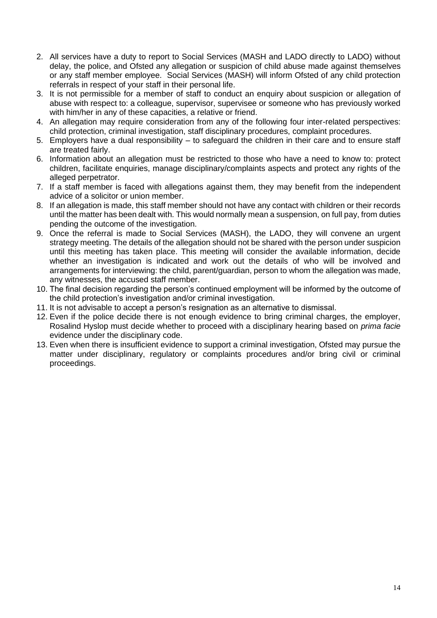- 2. All services have a duty to report to Social Services (MASH and LADO directly to LADO) without delay, the police, and Ofsted any allegation or suspicion of child abuse made against themselves or any staff member employee. Social Services (MASH) will inform Ofsted of any child protection referrals in respect of your staff in their personal life.
- 3. It is not permissible for a member of staff to conduct an enquiry about suspicion or allegation of abuse with respect to: a colleague, supervisor, supervisee or someone who has previously worked with him/her in any of these capacities, a relative or friend.
- 4. An allegation may require consideration from any of the following four inter-related perspectives: child protection, criminal investigation, staff disciplinary procedures, complaint procedures.
- 5. Employers have a dual responsibility to safeguard the children in their care and to ensure staff are treated fairly.
- 6. Information about an allegation must be restricted to those who have a need to know to: protect children, facilitate enquiries, manage disciplinary/complaints aspects and protect any rights of the alleged perpetrator.
- 7. If a staff member is faced with allegations against them, they may benefit from the independent advice of a solicitor or union member.
- 8. If an allegation is made, this staff member should not have any contact with children or their records until the matter has been dealt with. This would normally mean a suspension, on full pay, from duties pending the outcome of the investigation.
- 9. Once the referral is made to Social Services (MASH), the LADO, they will convene an urgent strategy meeting. The details of the allegation should not be shared with the person under suspicion until this meeting has taken place. This meeting will consider the available information, decide whether an investigation is indicated and work out the details of who will be involved and arrangements for interviewing: the child, parent/guardian, person to whom the allegation was made, any witnesses, the accused staff member.
- 10. The final decision regarding the person's continued employment will be informed by the outcome of the child protection's investigation and/or criminal investigation.
- 11. It is not advisable to accept a person's resignation as an alternative to dismissal.
- 12. Even if the police decide there is not enough evidence to bring criminal charges, the employer, Rosalind Hyslop must decide whether to proceed with a disciplinary hearing based on *prima facie* evidence under the disciplinary code.
- 13. Even when there is insufficient evidence to support a criminal investigation, Ofsted may pursue the matter under disciplinary, regulatory or complaints procedures and/or bring civil or criminal proceedings.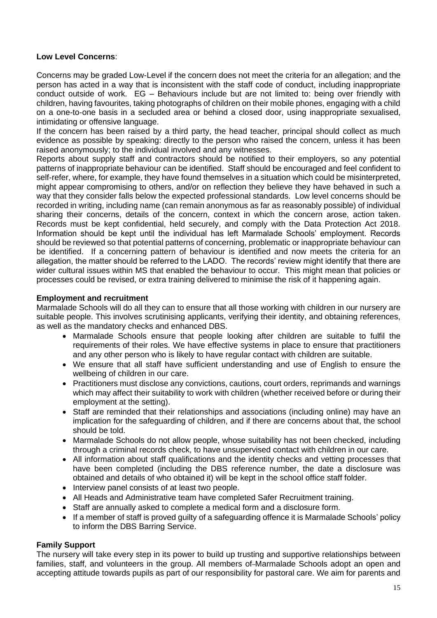# **Low Level Concerns**:

Concerns may be graded Low-Level if the concern does not meet the criteria for an allegation; and the person has acted in a way that is inconsistent with the staff code of conduct, including inappropriate conduct outside of work. EG – Behaviours include but are not limited to: being over friendly with children, having favourites, taking photographs of children on their mobile phones, engaging with a child on a one-to-one basis in a secluded area or behind a closed door, using inappropriate sexualised, intimidating or offensive language.

If the concern has been raised by a third party, the head teacher, principal should collect as much evidence as possible by speaking: directly to the person who raised the concern, unless it has been raised anonymously; to the individual involved and any witnesses.

Reports about supply staff and contractors should be notified to their employers, so any potential patterns of inappropriate behaviour can be identified. Staff should be encouraged and feel confident to self-refer, where, for example, they have found themselves in a situation which could be misinterpreted, might appear compromising to others, and/or on reflection they believe they have behaved in such a way that they consider falls below the expected professional standards. Low level concerns should be recorded in writing, including name (can remain anonymous as far as reasonably possible) of individual sharing their concerns, details of the concern, context in which the concern arose, action taken. Records must be kept confidential, held securely, and comply with the Data Protection Act 2018. Information should be kept until the individual has left Marmalade Schools' employment. Records should be reviewed so that potential patterns of concerning, problematic or inappropriate behaviour can be identified. If a concerning pattern of behaviour is identified and now meets the criteria for an allegation, the matter should be referred to the LADO. The records' review might identify that there are wider cultural issues within MS that enabled the behaviour to occur. This might mean that policies or processes could be revised, or extra training delivered to minimise the risk of it happening again.

# **Employment and recruitment**

Marmalade Schools will do all they can to ensure that all those working with children in our nursery are suitable people. This involves scrutinising applicants, verifying their identity, and obtaining references, as well as the mandatory checks and enhanced DBS.

- Marmalade Schools ensure that people looking after children are suitable to fulfil the requirements of their roles. We have effective systems in place to ensure that practitioners and any other person who is likely to have regular contact with children are suitable.
- We ensure that all staff have sufficient understanding and use of English to ensure the wellbeing of children in our care.
- Practitioners must disclose any convictions, cautions, court orders, reprimands and warnings which may affect their suitability to work with children (whether received before or during their employment at the setting).
- Staff are reminded that their relationships and associations (including online) may have an implication for the safeguarding of children, and if there are concerns about that, the school should be told.
- Marmalade Schools do not allow people, whose suitability has not been checked, including through a criminal records check, to have unsupervised contact with children in our care.
- All information about staff qualifications and the identity checks and vetting processes that have been completed (including the DBS reference number, the date a disclosure was obtained and details of who obtained it) will be kept in the school office staff folder.
- Interview panel consists of at least two people.
- All Heads and Administrative team have completed Safer Recruitment training.
- Staff are annually asked to complete a medical form and a disclosure form.
- If a member of staff is proved quilty of a safeguarding offence it is Marmalade Schools' policy to inform the DBS Barring Service.

# **Family Support**

The nursery will take every step in its power to build up trusting and supportive relationships between families, staff, and volunteers in the group. All members of-Marmalade Schools adopt an open and accepting attitude towards pupils as part of our responsibility for pastoral care. We aim for parents and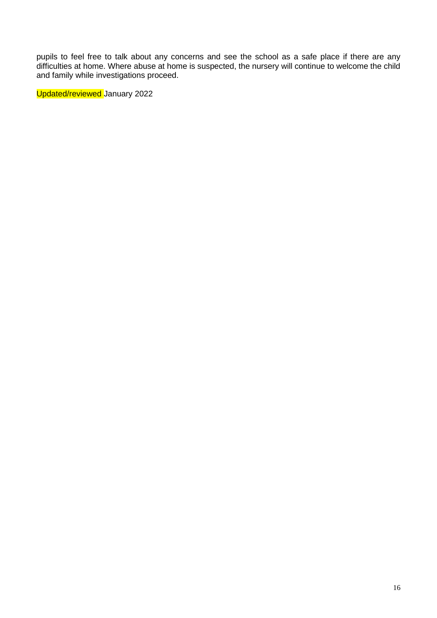pupils to feel free to talk about any concerns and see the school as a safe place if there are any difficulties at home. Where abuse at home is suspected, the nursery will continue to welcome the child and family while investigations proceed.

Updated/reviewed January 2022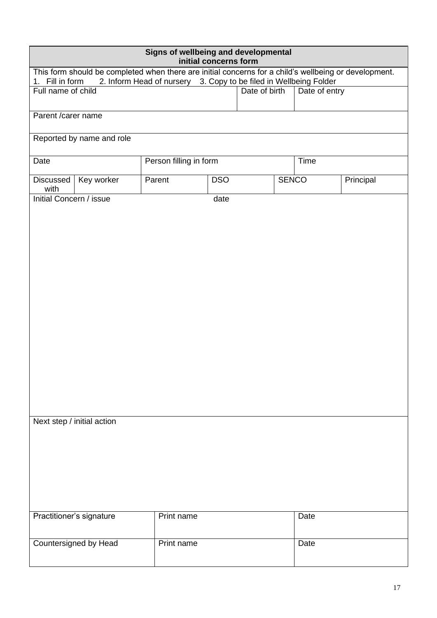| Signs of wellbeing and developmental<br>initial concerns form                                                                                                                                 |                            |                      |      |               |              |               |           |
|-----------------------------------------------------------------------------------------------------------------------------------------------------------------------------------------------|----------------------------|----------------------|------|---------------|--------------|---------------|-----------|
| This form should be completed when there are initial concerns for a child's wellbeing or development.<br>2. Inform Head of nursery 3. Copy to be filed in Wellbeing Folder<br>1. Fill in form |                            |                      |      |               |              |               |           |
| Full name of child                                                                                                                                                                            |                            |                      |      | Date of birth |              | Date of entry |           |
| Parent /carer name                                                                                                                                                                            |                            |                      |      |               |              |               |           |
|                                                                                                                                                                                               | Reported by name and role  |                      |      |               |              |               |           |
| Date                                                                                                                                                                                          | Person filling in form     |                      |      |               | Time         |               |           |
| Discussed<br>with                                                                                                                                                                             | Key worker                 | <b>DSO</b><br>Parent |      |               | <b>SENCO</b> |               | Principal |
| Initial Concern / issue                                                                                                                                                                       |                            |                      | date |               |              |               |           |
|                                                                                                                                                                                               |                            |                      |      |               |              |               |           |
|                                                                                                                                                                                               |                            |                      |      |               |              |               |           |
|                                                                                                                                                                                               |                            |                      |      |               |              |               |           |
|                                                                                                                                                                                               |                            |                      |      |               |              |               |           |
|                                                                                                                                                                                               |                            |                      |      |               |              |               |           |
|                                                                                                                                                                                               |                            |                      |      |               |              |               |           |
|                                                                                                                                                                                               |                            |                      |      |               |              |               |           |
|                                                                                                                                                                                               |                            |                      |      |               |              |               |           |
|                                                                                                                                                                                               |                            |                      |      |               |              |               |           |
|                                                                                                                                                                                               |                            |                      |      |               |              |               |           |
|                                                                                                                                                                                               |                            |                      |      |               |              |               |           |
|                                                                                                                                                                                               | Next step / initial action |                      |      |               |              |               |           |
|                                                                                                                                                                                               |                            |                      |      |               |              |               |           |
|                                                                                                                                                                                               |                            |                      |      |               |              |               |           |
|                                                                                                                                                                                               |                            |                      |      |               |              |               |           |
|                                                                                                                                                                                               |                            |                      |      |               |              |               |           |
| Practitioner's signature                                                                                                                                                                      |                            | Print name           |      |               |              | Date          |           |
|                                                                                                                                                                                               | Countersigned by Head      | Print name           |      |               |              | Date          |           |
|                                                                                                                                                                                               |                            |                      |      |               |              |               |           |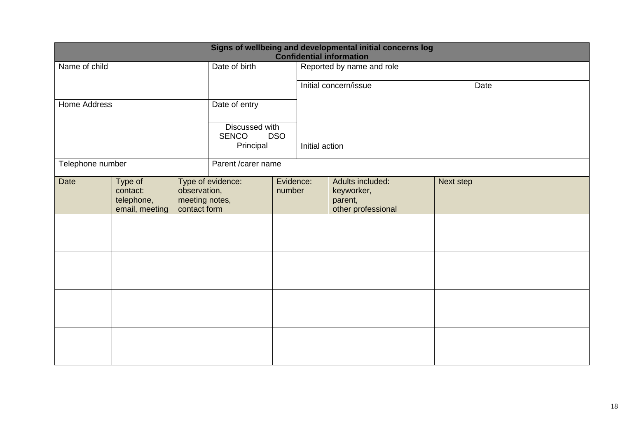| Signs of wellbeing and developmental initial concerns log<br><b>Confidential information</b> |                                                     |                                                |                                              |                     |                           |                                                                 |           |  |  |
|----------------------------------------------------------------------------------------------|-----------------------------------------------------|------------------------------------------------|----------------------------------------------|---------------------|---------------------------|-----------------------------------------------------------------|-----------|--|--|
| Name of child                                                                                |                                                     |                                                | Date of birth                                |                     | Reported by name and role |                                                                 |           |  |  |
|                                                                                              |                                                     |                                                |                                              |                     | Initial concern/issue     |                                                                 | Date      |  |  |
| Home Address                                                                                 |                                                     |                                                | Date of entry                                |                     |                           |                                                                 |           |  |  |
|                                                                                              |                                                     |                                                | Discussed with<br><b>SENCO</b><br><b>DSO</b> |                     |                           |                                                                 |           |  |  |
|                                                                                              |                                                     |                                                | Principal                                    |                     | Initial action            |                                                                 |           |  |  |
| Telephone number                                                                             |                                                     |                                                |                                              | Parent /carer name  |                           |                                                                 |           |  |  |
| <b>Date</b>                                                                                  | Type of<br>contact:<br>telephone,<br>email, meeting | observation,<br>meeting notes,<br>contact form | Type of evidence:                            | Evidence:<br>number |                           | Adults included:<br>keyworker,<br>parent,<br>other professional | Next step |  |  |
|                                                                                              |                                                     |                                                |                                              |                     |                           |                                                                 |           |  |  |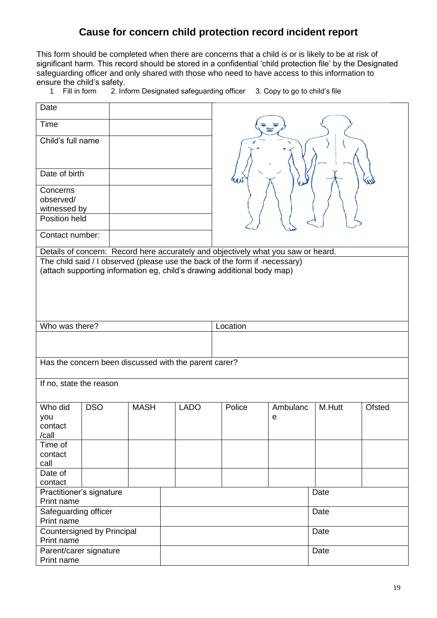# **Cause for concern child protection record incident report**

This form should be completed when there are concerns that a child is or is likely to be at risk of significant harm. This record should be stored in a confidential 'child protection file' by the Designated safeguarding officer and only shared with those who need to have access to this information to ensure the child's safety.

| Fill in form | 2. Inform Designated safeguarding officer 3. Copy to go to child's file |  |
|--------------|-------------------------------------------------------------------------|--|

| Date                                                   |            |             |                                                       |                                                                                   |          |        |
|--------------------------------------------------------|------------|-------------|-------------------------------------------------------|-----------------------------------------------------------------------------------|----------|--------|
| Time                                                   |            |             |                                                       |                                                                                   |          |        |
| Child's full name                                      |            |             |                                                       |                                                                                   |          |        |
| Date of birth                                          |            |             |                                                       |                                                                                   |          |        |
| Concerns<br>observed/<br>witnessed by<br>Position held |            |             |                                                       |                                                                                   |          |        |
| Contact number:                                        |            |             |                                                       |                                                                                   |          |        |
|                                                        |            |             |                                                       | Details of concern: Record here accurately and objectively what you saw or heard. |          |        |
|                                                        |            |             |                                                       | The child said / I observed (please use the back of the form if -necessary)       |          |        |
|                                                        |            |             |                                                       | (attach supporting information eg, child's drawing additional body map)           |          |        |
|                                                        |            |             |                                                       |                                                                                   |          |        |
|                                                        |            |             |                                                       |                                                                                   |          |        |
|                                                        |            |             |                                                       |                                                                                   |          |        |
|                                                        |            |             |                                                       |                                                                                   |          |        |
|                                                        |            |             |                                                       |                                                                                   |          |        |
|                                                        |            |             |                                                       |                                                                                   |          |        |
| Who was there?                                         |            |             |                                                       | Location                                                                          |          |        |
|                                                        |            |             |                                                       |                                                                                   |          |        |
|                                                        |            |             |                                                       |                                                                                   |          |        |
|                                                        |            |             |                                                       |                                                                                   |          |        |
|                                                        |            |             | Has the concern been discussed with the parent carer? |                                                                                   |          |        |
|                                                        |            |             |                                                       |                                                                                   |          |        |
| If no, state the reason                                |            |             |                                                       |                                                                                   |          |        |
|                                                        |            |             |                                                       |                                                                                   |          |        |
|                                                        |            |             |                                                       |                                                                                   |          |        |
| Who did                                                | <b>DSO</b> | <b>MASH</b> | <b>LADO</b>                                           | Police                                                                            | Ambulanc | M.Hutt |
| you                                                    |            |             |                                                       |                                                                                   | е        |        |
| contact                                                |            |             |                                                       |                                                                                   |          |        |
| /call                                                  |            |             |                                                       |                                                                                   |          |        |
|                                                        |            |             |                                                       |                                                                                   |          |        |
| Time of                                                |            |             |                                                       |                                                                                   |          |        |
| contact                                                |            |             |                                                       |                                                                                   |          |        |
| call                                                   |            |             |                                                       |                                                                                   |          |        |
| Date of                                                |            |             |                                                       |                                                                                   |          |        |
| contact                                                |            |             |                                                       |                                                                                   |          |        |
| Practitioner's signature                               |            |             |                                                       |                                                                                   |          | Date   |
| Print name                                             |            |             |                                                       |                                                                                   |          |        |
|                                                        |            |             |                                                       |                                                                                   |          |        |
| Safeguarding officer                                   |            |             |                                                       |                                                                                   |          | Date   |
| Print name                                             |            |             |                                                       |                                                                                   |          |        |
| Countersigned by Principal                             |            |             |                                                       |                                                                                   |          | Date   |
| Print name                                             |            |             |                                                       |                                                                                   |          |        |
|                                                        |            |             |                                                       |                                                                                   |          |        |

Parent/carer signature

Print name

**Date** 

**Ofsted**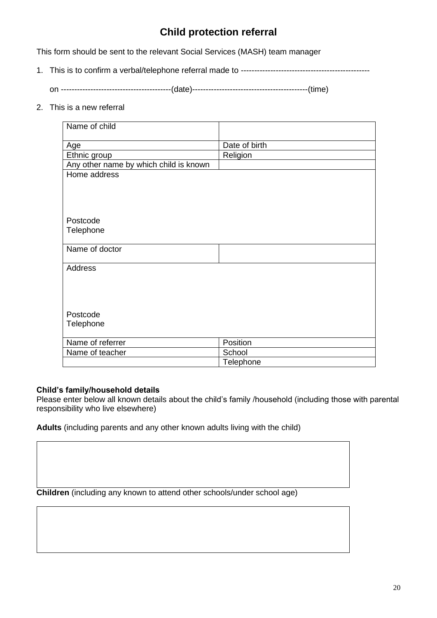# **Child protection referral**

This form should be sent to the relevant Social Services (MASH) team manager

1. This is to confirm a verbal/telephone referral made to ------------------------------------------------

on -----------------------------------------(date)-------------------------------------------(time)

2. This is a new referral

| Name of child                          |               |
|----------------------------------------|---------------|
|                                        |               |
| Age                                    | Date of birth |
| Ethnic group                           | Religion      |
| Any other name by which child is known |               |
| Home address                           |               |
|                                        |               |
|                                        |               |
|                                        |               |
|                                        |               |
| Postcode                               |               |
| Telephone                              |               |
| Name of doctor                         |               |
|                                        |               |
| <b>Address</b>                         |               |
|                                        |               |
|                                        |               |
|                                        |               |
|                                        |               |
| Postcode                               |               |
| Telephone                              |               |
|                                        |               |
| Name of referrer                       | Position      |
| Name of teacher                        | School        |
|                                        | Telephone     |

# **Child's family/household details**

Please enter below all known details about the child's family /household (including those with parental responsibility who live elsewhere)

**Adults** (including parents and any other known adults living with the child)

**Children** (including any known to attend other schools/under school age)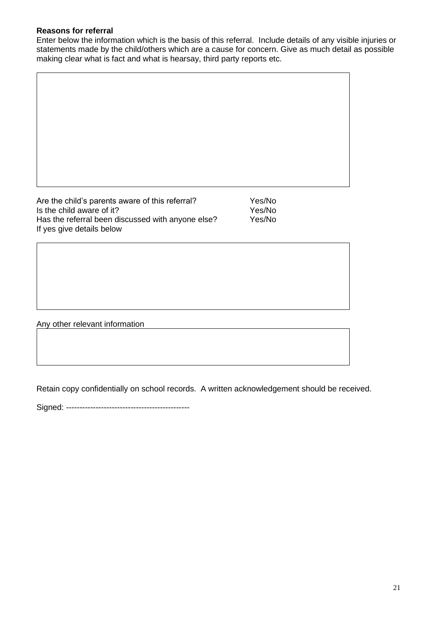# **Reasons for referral**

Enter below the information which is the basis of this referral. Include details of any visible injuries or statements made by the child/others which are a cause for concern. Give as much detail as possible making clear what is fact and what is hearsay, third party reports etc.

Are the child's parents aware of this referral?<br>
Is the child aware of it?<br>
Yes/No Is the child aware of it? Has the referral been discussed with anyone else? Yes/No If yes give details below

Any other relevant information

Retain copy confidentially on school records. A written acknowledgement should be received.

Signed: ----------------------------------------------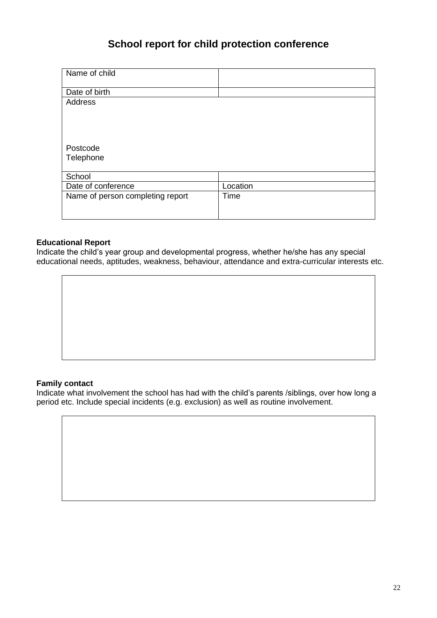# **School report for child protection conference**

| Name of child                    |          |
|----------------------------------|----------|
| Date of birth                    |          |
| <b>Address</b>                   |          |
|                                  |          |
|                                  |          |
|                                  |          |
| Postcode                         |          |
| Telephone                        |          |
|                                  |          |
| School                           |          |
| Date of conference               | Location |
| Name of person completing report | Time     |
|                                  |          |
|                                  |          |

# **Educational Report**

Indicate the child's year group and developmental progress, whether he/she has any special educational needs, aptitudes, weakness, behaviour, attendance and extra-curricular interests etc.

#### **Family contact**

Indicate what involvement the school has had with the child's parents /siblings, over how long a period etc. Include special incidents (e.g. exclusion) as well as routine involvement.